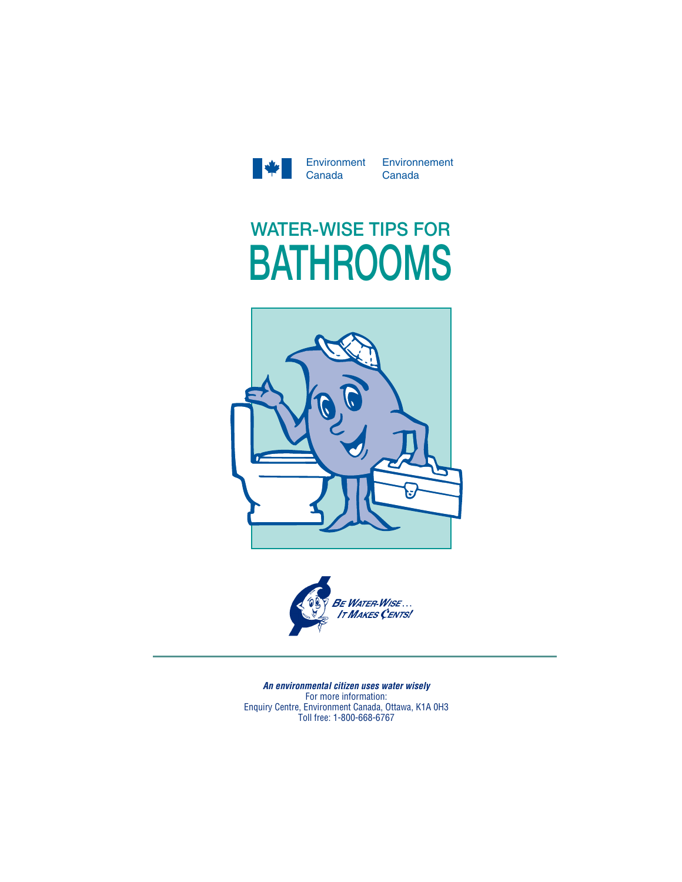

Environment Environnement Canada

# **WATER-WISE TIPS FOR BATHROOMS**





Enquiry Centre, Environment Canada, Ottawa, K1A 0H3 For more information: Toll free: 1-800-668-6767*An environmental citizen uses water wisely* For more information: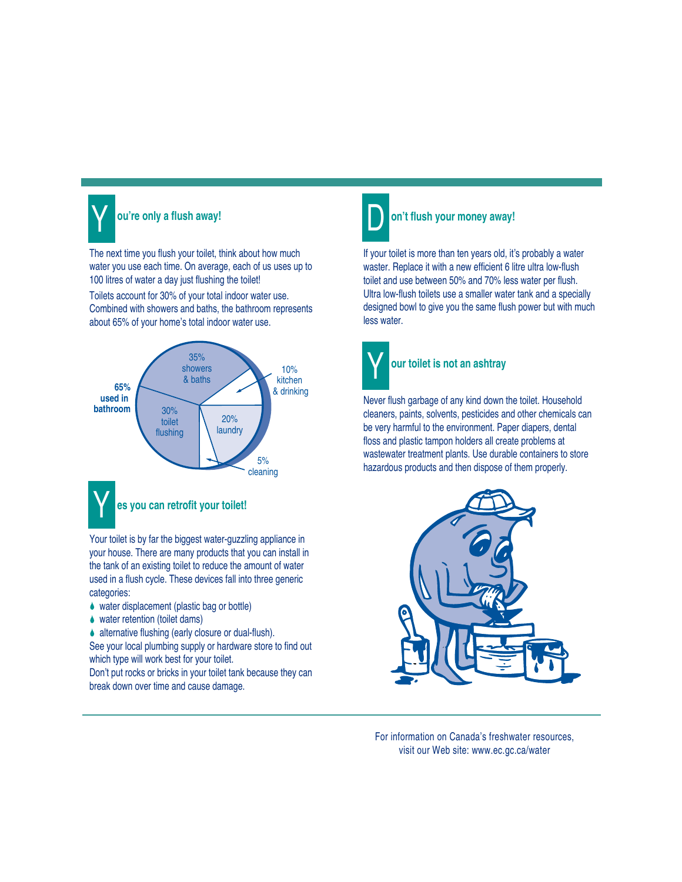

## **ou're only a flush away!**

The next time you flush your toilet, think about how much water you use each time. On average, each of us uses up to 100 litres of water a day just flushing the toilet! Toilets account for 30% of your total indoor water use. Combined with showers and baths, the bathroom represents about 65% of your home's total indoor water use.



Your toilet is by far the biggest water-guzzling appliance in your house. There are many products that you can install in the tank of an existing toilet to reduce the amount of water used in a flush cycle. These devices fall into three generic categories:

- ♦ water displacement (plastic bag or bottle)
- ◆ water retention (toilet dams)

♦ alternative flushing (early closure or dual-flush). See your local plumbing supply or hardware store to find out which type will work best for your toilet.

Don't put rocks or bricks in your toilet tank because they can break down over time and cause damage.



#### **on't flush your money away!**

If your toilet is more than ten years old, it's probably a water waster. Replace it with a new efficient 6 litre ultra low-flush toilet and use between 50% and 70% less water per flush. Ultra low-flush toilets use a smaller water tank and a specially designed bowl to give you the same flush power but with much less water.



## **our toilet is not an ashtray**

Never flush garbage of any kind down the toilet. Household cleaners, paints, solvents, pesticides and other chemicals can be very harmful to the environment. Paper diapers, dental floss and plastic tampon holders all create problems at wastewater treatment plants. Use durable containers to store hazardous products and then dispose of them properly.



For information on Canada's freshwater resources, visit our Web site: www.ec.gc.ca/water

For information on Canada's freshwater resources,